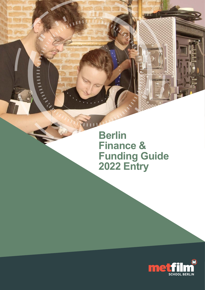**Berlin Finance & Funding Guide 2022 Entry**

**ALLIER AND READER** 

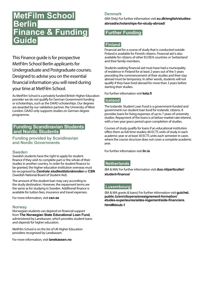# **MetFilm School Berlin Finance & Funding Guide**

This Finance guide is for prospective MetFilm School Berlin applicants for Undergraduate and Postgraduate courses. Designed to advise you on the essential financial information you will need during your time at MetFilm School.

As MetFilm School is a privately funded British Higher Education provider we do not qualify for German Government funding or scholarships, such as the DAAD scholarships. Our degrees are awarded by our validation partner, the University of West London. DAAD only supports studies on German degree programme.

#### **Funding Scandinavian Students and Nordic Students**

**Funding provided by Scandinavian and Nordic Governments**

#### **Sweden**

Swedish students have the right to apply for student finance if they wish to complete part or the whole of their studies in another country. In order for student finance to be granted, the higher education institution overseas must be recognised by *Centrala studiestödsnämnden* or **CSN** (Swedish National Board of Student Aid).

The amount of the student loan may vary according to the study destination. However, the repayment terms are the same as for studying in Sweden. Additional finance is available for tuition fees, insurance and travel expenses.

For more information, visit **[csn.se](https://www.csn.se/)**

#### **Norway**

Norwegian students can depend on financial support from **The Norwegian State Educational Loan Fund**, administered by Lanekassen, which provides student loans and stipends for higher education.

MetFilm School is on the list of UK Higher Education providers recognised by Lanekassen.

For more information, visit **[lanekassen.no](http://lanekassen.no)**

#### **Denmark**

(MA Only) For further information visit **[su.dk/english/studies](https://www.su.dk/english/studies-abroad/scholarships-for-study-abroad/ )[abroad/scholarships-for-study-abroad/](https://www.su.dk/english/studies-abroad/scholarships-for-study-abroad/ )**

## **Further Funding**

## **Finland**

Financial aid for a course of study that is conducted outside Finland is available for Finnish citizens. Financial aid is also available for citizens of other EU/EEA countries or Switzerland and their family members.

Students seeking financial aid must have had a municipality of residence in Finland for at least 2 years out of the 5 years preceding the commencement of their studies and their stay abroad must be temporary. In other words, students will not qualify if they have lived abroad for more than 3 years before starting their studies.

For further information visit **[kela.fi](http://kela.fi )** 

#### **Iceland**

The Icelandic Student Loan Fund is a government-funded and government-run student loan fund for Icelandic citizens. It provides loans for living expenses of up to 7 years of university studies. Repayment of the loans is at below-market-rate interest, with a two-year grace period upon completion of studies.

Courses of study qualify for loans if an educational institution offers them as full-time studies; 60 ECTS units of study in each academic year or at least 30 ECTS units each semester in cases where the course structure does not cover a complete academic year.

For further information visit **[lin.is](http://lin.is)**

#### **Netherlands**

(BA & MA) For further information visit **[duo.nl/particulier/](https://duo.nl/particulier/student-finance/) [student-finance/](https://duo.nl/particulier/student-finance/)**

#### **Luxembourg**

(BA & MA grants & loans) For further information visit **[guichet.](https://guichet.public.lu/en/citoyens/enseignement-formation/etudes-superieures/aides-logement/aide-financiere.html#bloub-1) [public.lu/en/citoyens/enseignement-formation/](https://guichet.public.lu/en/citoyens/enseignement-formation/etudes-superieures/aides-logement/aide-financiere.html#bloub-1) [etudes-superieures/aides-logement/aide-financiere.](https://guichet.public.lu/en/citoyens/enseignement-formation/etudes-superieures/aides-logement/aide-financiere.html#bloub-1) [html#bloub-1](https://guichet.public.lu/en/citoyens/enseignement-formation/etudes-superieures/aides-logement/aide-financiere.html#bloub-1)**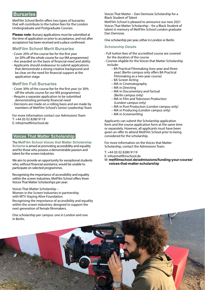## **Bursaries**

MetFilm School Berlin offers two types of bursaries that will contribute to the tuition fees for the London Undergraduate and Postgraduate Courses.

**Please note:** Bursary applications must be submitted at the time of application or prior to acceptance, and not after acceptance has been received and a place confirmed.

#### **MetFilm School Merit Bursaries**

- Cover 20% of the course fee for the first year (or 20% off the whole course for our MA programmes)
- Are awarded on the basis of financial need and ability • Applicants should endeavour to submit applications
- that demonstrate a strong creative background and be clear on the need for financial support at the application stage

#### **MetFilm Full Bursaries**

- Cover 30% of the course fee for the first year (or 30% off the whole course for our MA programmes)
- Require a separate application to be submitted demonstrating primarily financial need
- Decisions are made on a rolling basis and are made by members of MetFilm School's Senior Leadership Team

For more information contact our Admissions Team T: +44 (0) 02 8280 9119 E: [info@metfilmschool.de](mailto:info%40metfilmschool.de?subject=)

#### **Voices That Matter Scholarship**

The **MetFilm School Voices that Matter Scholarship Scheme** is aimed at promoting accessibility and equality and for those who possess a demonstrable passion and talent for the screen industries.

We aim to provide an opportunity for exceptional students who, without financial assistance, would be unable to participate on selected programmes.

Recognising the importance of accessibility and equality within the screen industries, MetFilm School offers three Voices That Matter Scholarships per year:

[Voices That Matter Scholarship –](https://www.metfilmschool.de/admissions/funding-your-course/voices-that-matter-scholarship/women-screen-industries-2021/)  [Women in the Screen Industries in partnership](https://www.metfilmschool.de/admissions/funding-your-course/voices-that-matter-scholarship/women-screen-industries-2021/)  [with MTV Staying Alive Foundation](https://www.metfilmschool.de/admissions/funding-your-course/voices-that-matter-scholarship/women-screen-industries-2021/) Recognising the importance of accessibility and equality within the screen industries; designed to support the next generation of female filmmakers.

One scholarship per campus: one in London and one in Berlin.

[Voices That Matter – Dan Demissie Scholarship for a](mailto:https://www.metfilmschool.de/admissions/funding-your-course/voices-that-matter-scholarship/dan-demissie-2021/?subject=)  [Black Student of Talent](mailto:https://www.metfilmschool.de/admissions/funding-your-course/voices-that-matter-scholarship/dan-demissie-2021/?subject=)

MetFilm School is pleased to announce our new 2021 Voices That Matter Scholarship – for a Black Student of talent in memory of MetFilm School London graduate Dan Demissie.

One scholarship per year, either in London or Berlin.

#### **Scholarship Details**

- Full tuition fees of the accredited course are covered for the duration of the course
- Courses eligible for the Voices that Matter Scholarship include:
	- BA Practical Filmmaking (two-year and threeyear) (Berlin campus only offers BA Practical Filmmaking as a two-year course)
	- BA Screen Acting
	- MA in Cinematography
	- MA in Directing
	- MA in Documentary and Factual (Berlin campus only)
	- MA in Film and Television Production (London campus only)
	- MA in Post Production (London campus only)
	- MA in Producing (London campus only)
	- MA in Screenwriting

Applicants can submit the Scholarship application form and the course application form at the same time or separately. However, all applicants must have been given an offer to attend MetFilm School prior to being considered for the scholarship.

For more information on the Voices that Matter Scholarship, contact the Admissions Team.

T: +44 (0) 02 8280 9119

E: [info@metfilmschool.de](mailto:info%40metfilmschool.de?subject=) 

W: **[metfilmschool.de/admissions/funding-your-course/](http://metfilmschool.de/admissions/funding-your-course/voices-that-matter-scholarship) [voices-that-matter-scholarship](http://metfilmschool.de/admissions/funding-your-course/voices-that-matter-scholarship)**